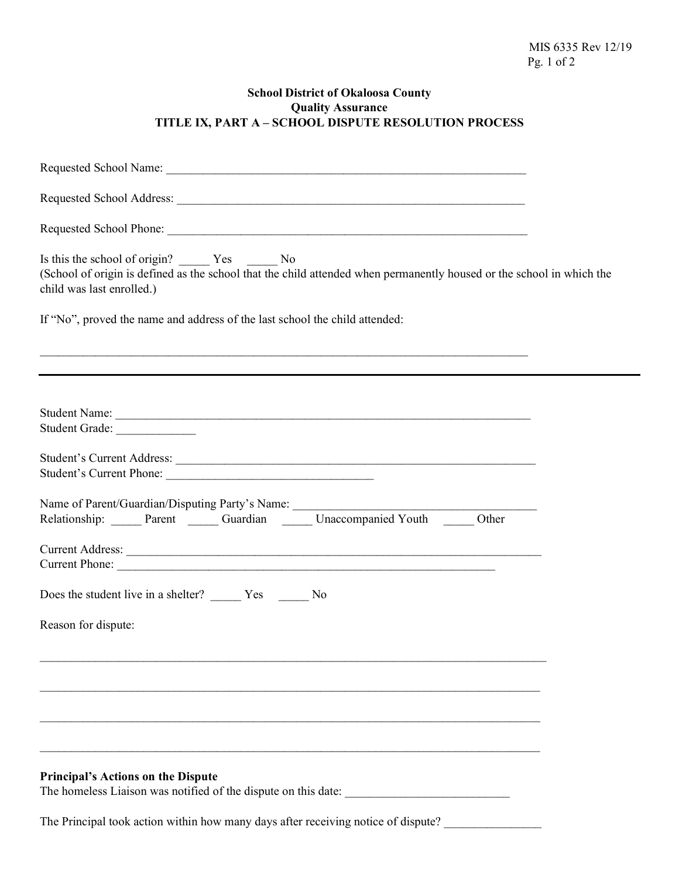## **School District of Okaloosa County Quality Assurance TITLE IX, PART A – SCHOOL DISPUTE RESOLUTION PROCESS**

| (School of origin is defined as the school that the child attended when permanently housed or the school in which the<br>child was last enrolled.)   |
|------------------------------------------------------------------------------------------------------------------------------------------------------|
| If "No", proved the name and address of the last school the child attended:                                                                          |
| <u> 1989 - Johann Barn, amerikan bandar dan bertukan bandar dalam bandar dalam bandar dalam bandar dalam bandar</u>                                  |
| Student Grade:                                                                                                                                       |
| Student's Current Address:                                                                                                                           |
| Name of Parent/Guardian/Disputing Party's Name: _________________________________<br>Relationship: Parent Cuardian Cuardian Diacompanied Youth Cuber |
| Current Phone:                                                                                                                                       |
|                                                                                                                                                      |
| Reason for dispute:                                                                                                                                  |
|                                                                                                                                                      |
|                                                                                                                                                      |
|                                                                                                                                                      |
| <b>Principal's Actions on the Dispute</b>                                                                                                            |
| The Principal took action within how many days after receiving notice of dispute?                                                                    |